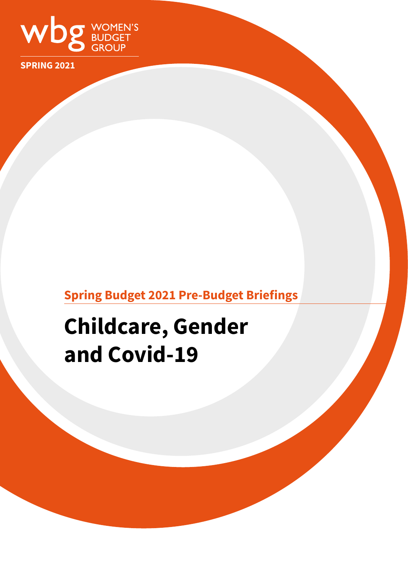

**SPRING 2021**

## **Spring Budget 2021 Pre-Budget Briefings**

# **Childcare, Gender and Covid-19**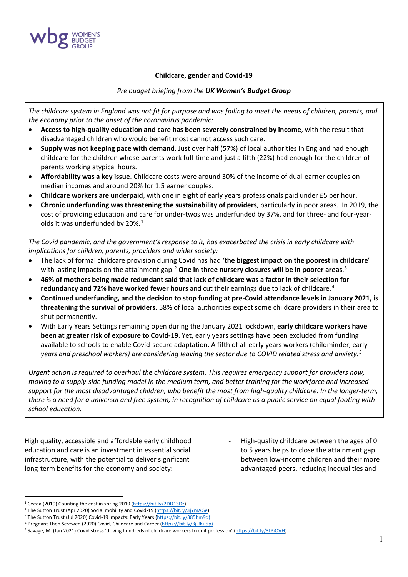

#### **Childcare, gender and Covid-19**

#### *Pre budget briefing from the UK Women's Budget Group*

*The childcare system in England was not fit for purpose and was failing to meet the needs of children, parents, and the economy prior to the onset of the coronavirus pandemic:*

- **Access to high-quality education and care has been severely constrained by income**, with the result that disadvantaged children who would benefit most cannot access such care.
- **Supply was not keeping pace with demand**. Just over half (57%) of local authorities in England had enough childcare for the children whose parents work full-time and just a fifth (22%) had enough for the children of parents working atypical hours.
- **Affordability was a key issue**. Childcare costs were around 30% of the income of dual-earner couples on median incomes and around 20% for 1.5 earner couples.
- **Childcare workers are underpaid**, with one in eight of early years professionals paid under £5 per hour.
- **Chronic underfunding was threatening the sustainability of providers**, particularly in poor areas. In 2019, the cost of providing education and care for under-twos was underfunded by 37%, and for three- and four-yearolds it was underfunded by  $20\%$ .<sup>[1](#page-1-0)</sup>

*The Covid pandemic, and the government's response to it, has exacerbated the crisis in early childcare with implications for children, parents, providers and wider society:*

- The lack of formal childcare provision during Covid has had '**the biggest impact on the poorest in childcare**' with lasting impacts on the attainment gap.[2](#page-1-1) **One in three nursery closures will be in poorer areas**. [3](#page-1-2)
- **46% of mothers being made redundant said that lack of childcare was a factor in their selection for redundancy and 72% have worked fewer hours** and cut their earnings due to lack of childcare.<sup>[4](#page-1-3)</sup>
- **Continued underfunding, and the decision to stop funding at pre-Covid attendance levels in January 2021, is threatening the survival of providers.** 58% of local authorities expect some childcare providers in their area to shut permanently.
- With Early Years Settings remaining open during the January 2021 lockdown, **early childcare workers have been at greater risk of exposure to Covid-19**. Yet, early years settings have been excluded from funding available to schools to enable Covid-secure adaptation. A fifth of all early years workers (childminder, early *years and preschool workers) are considering leaving the sector due to COVID related stress and anxiety.*[5](#page-1-4)

*Urgent action is required to overhaul the childcare system. This requires emergency support for providers now, moving to a supply-side funding model in the medium term, and better training for the workforce and increased support for the most disadvantaged children, who benefit the most from high-quality childcare. In the longer-term, there is a need for a universal and free system, in recognition of childcare as a public service on equal footing with school education.*

High quality, accessible and affordable early childhood education and care is an investment in essential social infrastructure, with the potential to deliver significant long-term benefits for the economy and society:

High-quality childcare between the ages of 0 to 5 years helps to close the attainment gap between low-income children and their more advantaged peers, reducing inequalities and

<span id="page-1-0"></span><sup>&</sup>lt;sup>1</sup> Ceeda (2019) Counting the cost in spring 2019 [\(https://bit.ly/2DD13Dz\)](https://bit.ly/2DD13Dz) 2 The Sutton Trust (Apr 2020) Social mobility and Covid-19 [\(https://bit.ly/3jYmAGe\)](https://bit.ly/3jYmAGe)

<span id="page-1-1"></span>

<span id="page-1-4"></span><span id="page-1-3"></span>

<span id="page-1-2"></span><sup>&</sup>lt;sup>3</sup> The [S](https://www.suttontrust.com/our-research/coronovirus-impacts-early-years/)utton Trust (Jul 2020) Covid-19 impacts: Early Years (https://bit.ly/385hm9q)<br><sup>4</sup> Pregnant Then Screwed (2020) Covid, Childcare and Career (https://bit.ly/3jUKu5p)<br><sup>5</sup> Savage, M. (Jan 2021) Covid stress 'driving h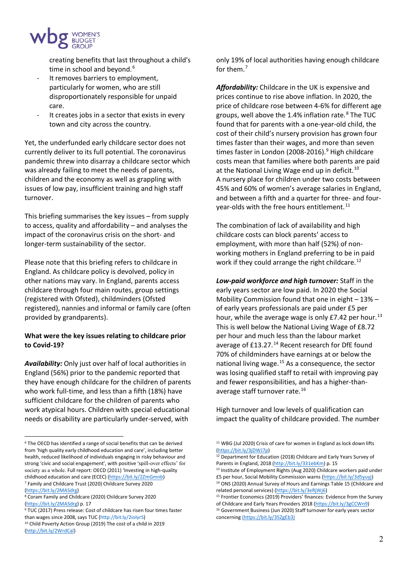

creating benefits that last throughout a child's time in school and beyond.<sup>[6](#page-2-0)</sup>

- It removes barriers to employment, particularly for women, who are still disproportionately responsible for unpaid care.
- It creates jobs in a sector that exists in every town and city across the country.

Yet, the underfunded early childcare sector does not currently deliver to its full potential. The coronavirus pandemic threw into disarray a childcare sector which was already failing to meet the needs of parents, children and the economy as well as grappling with issues of low pay, insufficient training and high staff turnover.

This briefing summarises the key issues – from supply to access, quality and affordability – and analyses the impact of the coronavirus crisis on the short- and longer-term sustainability of the sector.

Please note that this briefing refers to childcare in England. As childcare policy is devolved, policy in other nations may vary. In England, parents access childcare through four main routes, group settings (registered with Ofsted), childminders (Ofsted registered), nannies and informal or family care (often provided by grandparents).

#### **What were the key issues relating to childcare prior to Covid-19?**

*Availability:* Only just over half of local authorities in England (56%) prior to the pandemic reported that they have enough childcare for the children of parents who work full-time, and less than a fifth (18%) have sufficient childcare for the children of parents who work atypical hours. Children with special educational needs or disability are particularly under-served, with

only 19% of local authorities having enough childcare for them.[7](#page-2-1)

*Affordability:* Childcare in the UK is expensive and prices continue to rise above inflation. In 2020, the price of childcare rose between 4-6% for different age groups, well above the 1.4% inflation rate.<sup>[8](#page-2-2)</sup> The TUC found that for parents with a one-year-old child, the cost of their child's nursery provision has grown four times faster than their wages, and more than seven times faster in London (2008-2016).<sup>[9](#page-2-3)</sup> High childcare costs mean that families where both parents are paid at the National Living Wage end up in deficit.<sup>[10](#page-2-4)</sup> A nursery place for children under two costs between 45% and 60% of women's average salaries in England, and between a fifth and a quarter for three- and four-year-olds with the free hours entitlement.<sup>[11](#page-2-0)</sup>

The combination of lack of availability and high childcare costs can block parents' access to employment, with more than half (52%) of nonworking mothers in England preferring to be in paid work if they could arrange the right childcare.<sup>[12](#page-2-5)</sup>

*Low-paid workforce and high turnover:* Staff in the early years sector are low paid. In 2020 the Social Mobility Commission found that one in eight – 13% – of early years professionals are paid under £5 per hour, while the average wage is only  $E7.42$  per hour.<sup>[13](#page-2-6)</sup> This is well below the National Living Wage of £8.72 per hour and much less than the labour market average of £13.27.<sup>[14](#page-2-1)</sup> Recent research for DfE found 70% of childminders have earnings at or below the national living wage. $15$  As a consequence, the sector was losing qualified staff to retail with improving pay and fewer responsibilities, and has a higher-than-average staff turnover rate.<sup>[16](#page-2-3)</sup>

High turnover and low levels of qualification can impact the quality of childcare provided. The number

<span id="page-2-5"></span><span id="page-2-0"></span><sup>&</sup>lt;sup>6</sup> The OECD has identified a range of social benefits that can be derived from 'high quality early childhood education and care', including better health, reduced likelihood of individuals engaging in risky behaviour and strong 'civic and social engagement', with positive 'spill-over effects' for society as a whole. Full report: OECD (2011) 'Investing in high-quality childhood education and care (ECEC) [\(https://bit.ly/2ZmGmnb\)](https://bit.ly/2ZmGmnb) <sup>7</sup> Family and Childcare Trust (2020) Childcare Survey 2020

<span id="page-2-6"></span><span id="page-2-1"></span>[<sup>\(</sup>https://bit.ly/2MASdrg\)](https://bit.ly/2MASdrg)<br><sup>8</sup> Coram Family and Childcare (2020) Childcare Survey 2020

<span id="page-2-2"></span>[<sup>\(</sup>https://bit.ly/2MASdrg\)](https://bit.ly/2MASdrg) p. 17

<span id="page-2-3"></span><sup>9</sup> TUC (2017) Press release: Cost of childcare has risen four times faster than wages since 2008, says TUC [\(http://bit.ly/2ioIyrS\)](http://bit.ly/2ioIyrS)

<span id="page-2-4"></span><sup>&</sup>lt;sup>10</sup> Child Poverty Action Group (2019) The cost of a child in 2019 [\(http://bit.ly/2WrdCal\)](http://bit.ly/2WrdCal)

<sup>&</sup>lt;sup>11</sup> WBG (Jul 2020) Crisis of care for women in England as lock down lifts [\(https://bit.ly/3jDWJ7p\)](https://bit.ly/3jDWJ7p)

<sup>&</sup>lt;sup>12</sup> Department for Education (2018) Childcare and Early Years Survey of Parents in England, 2018 [\(http://bit.ly/331ebKm\)](http://bit.ly/331ebKm) p. 15

<sup>13</sup> Institute of Employment Rights (Aug 2020) Childcare workers paid under £5 per hour, Social Mobility Commission warns (https://bit.ly/3d5yuyj)<br><sup>14</sup> ONS (2020) Annual Survey of Hours and Earnings Table 15 (Childcare and

related personal services) [\(https://bit.ly/3eRjWj6\)](https://bit.ly/3eRjWj6)<br><sup>15</sup> Frontier Economics (2019) Providers' finances: Evidence from the Survey of Childcare and Early Years Providers 2018 [\(https://bit.ly/3gCCWn9\)](https://bit.ly/3gCCWn9)<br><sup>16</sup> Government Business (Jun 2020) Staff turnover for early years sector concerning (https://bit.ly/35ZgEb3)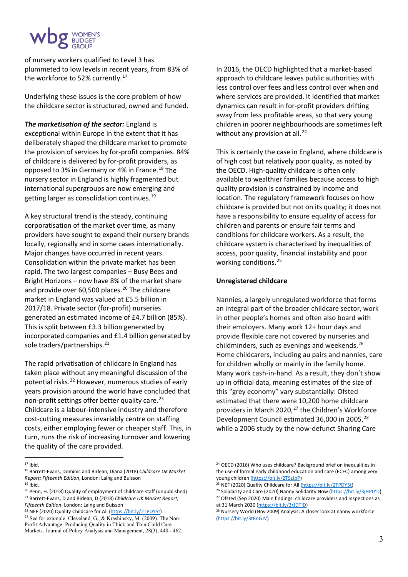

of nursery workers qualified to Level 3 has plummeted to low levels in recent years, from 83% of the workforce to 52% currently.<sup>[17](#page-3-0)</sup>

Underlying these issues is the core problem of how the childcare sector is structured, owned and funded.

*The marketisation of the sector:* England is exceptional within Europe in the extent that it has deliberately shaped the childcare market to promote the provision of services by for-profit companies. 84% of childcare is delivered by for-profit providers, as opposed to 3% in Germany or 4% in France.<sup>[18](#page-3-1)</sup> The nursery sector in England is highly fragmented but international supergroups are now emerging and getting larger as consolidation continues.[19](#page-3-2)

A key structural trend is the steady, continuing corporatisation of the market over time, as many providers have sought to expand their nursery brands locally, regionally and in some cases internationally. Major changes have occurred in recent years. Consolidation within the private market has been rapid. The two largest companies – Busy Bees and Bright Horizons – now have 8% of the market share and provide over 60,500 places. $^{20}$  $^{20}$  $^{20}$  The childcare market in England was valued at £5.5 billion in 2017/18. Private sector (for-profit) nurseries generated an estimated income of £4.7 billion (85%). This is split between £3.3 billion generated by incorporated companies and £1.4 billion generated by sole traders/partnerships.<sup>[21](#page-3-4)</sup>

The rapid privatisation of childcare in England has taken place without any meaningful discussion of the potential risks.<sup>[22](#page-3-5)</sup> However, numerous studies of early years provision around the world have concluded that non-profit settings offer better quality care.<sup>[23](#page-3-6)</sup> Childcare is a labour-intensive industry and therefore cost-cutting measures invariably centre on staffing costs, either employing fewer or cheaper staff. This, in turn, runs the risk of increasing turnover and lowering the quality of the care provided.

<span id="page-3-4"></span>*Fifteenth Edition*. London: Laing and Buisson<br><sup>22</sup> NEF (2020) Quality Childcare for All [\(https://bit.ly/2TPDY5t\)](https://bit.ly/2TPDY5t)

In 2016, the OECD highlighted that a market-based approach to childcare leaves public authorities with less control over fees and less control over when and where services are provided. It identified that market dynamics can result in for-profit providers drifting away from less profitable areas, so that very young children in poorer neighbourhoods are sometimes left without any provision at all. $^{24}$  $^{24}$  $^{24}$ 

This is certainly the case in England, where childcare is of high cost but relatively poor quality, as noted by the OECD. High-quality childcare is often only available to wealthier families because access to high quality provision is constrained by income and location. The regulatory framework focuses on how childcare is provided but not on its quality; it does not have a responsibility to ensure equality of access for children and parents or ensure fair terms and conditions for childcare workers. As a result, the childcare system is characterised by inequalities of access, poor quality, financial instability and poor working conditions.[25](#page-3-2)

#### **Unregistered childcare**

Nannies, a largely unregulated workforce that forms an integral part of the broader childcare sector, work in other people's homes and often also board with their employers. Many work 12+ hour days and provide flexible care not covered by nurseries and childminders, such as evenings and weekends.<sup>[26](#page-3-3)</sup> Home childcarers, including au pairs and nannies, care for children wholly or mainly in the family home. Many work cash-in-hand. As a result, they don't show up in official data, meaning estimates of the size of this "grey economy" vary substantially: Ofsted estimated that there were 10,200 home childcare providers in March 2020, [27](#page-3-4) the Children's Workforce Development Council estimated 36,000 in 2005,<sup>[28](#page-3-5)</sup> while a 2006 study by the now-defunct Sharing Care

<span id="page-3-0"></span> $17$  Ibid.

<span id="page-3-1"></span><sup>18</sup> Barrett-Evans, Dominic and Birlean, Diana (2018) *Childcare UK Market Report; Fifteenth Edition*, London: Laing and Buisson 19 Ibid.

<span id="page-3-2"></span>

<span id="page-3-3"></span><sup>&</sup>lt;sup>20</sup> Penn, H. (2018) Quality of employment of childcare staff (unpublished) <sup>21</sup> Barrett-Evans, D and Birlean, D (2018) *Childcare UK Market Report;* 

<span id="page-3-6"></span><span id="page-3-5"></span><sup>23</sup> See for example: Cleveland, G., & Krashinsky, M. (2009). The Non-Profit Advantage: Producing Quality in Thick and Thin Child Care Markets. Journal of Policy Analysis and Management, 28(3), 440 - 462.

<sup>&</sup>lt;sup>24</sup> OECD (2016) Who uses childcare? Background brief on inequalities in the use of formal early childhood education and care (ECEC) among very

young children (https://bit.ly/2TSzJpP)<br>
<sup>25</sup> NEF (2020) Quality Childcare for All [\(https://bit.ly/2TPDY5t\)](https://bit.ly/2TPDY5t)<br>
<sup>26</sup> Solidarity and Care (2020) Nanny Solidarity Now [\(https://bit.ly/3jHPtYD\)](https://bit.ly/3jHPtYD)<br>
<sup>27</sup> Ofsted (Sep 2020) Main findin

at 31 March 2020 [\(https://bit.ly/3rJDTiD\)](https://bit.ly/3rJDTiD)<br><sup>28</sup> Nursery World (Nov 2009) Analysis: A closer look at nanny workforce [\(https://bit.ly/3tRnGJV\)](https://bit.ly/3tRnGJV)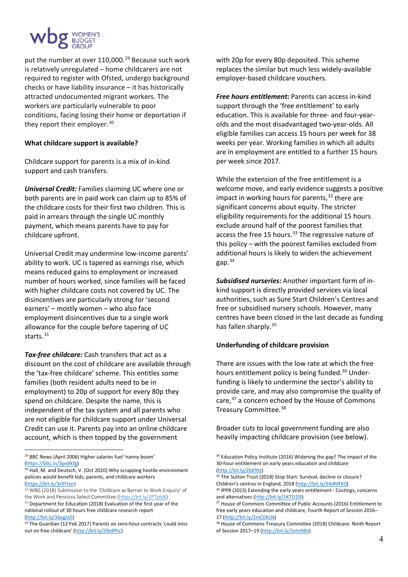

put the number at over 110,000.<sup>[29](#page-4-0)</sup> Because such work is relatively unregulated – home childcarers are not required to register with Ofsted, undergo background checks or have liability insurance – it has historically attracted undocumented migrant workers. The workers are particularly vulnerable to poor conditions, facing losing their home or deportation if they report their employer.<sup>[30](#page-4-1)</sup>

#### **What childcare support is available?**

Childcare support for parents is a mix of in-kind support and cash transfers.

*Universal Credit:* Families claiming UC where one or both parents are in paid work can claim up to 85% of the childcare costs for their first two children. This is paid in arrears through the single UC monthly payment, which means parents have to pay for childcare upfront.

Universal Credit may undermine low-income parents' ability to work. UC is tapered as earnings rise, which means reduced gains to employment or increased number of hours worked, since families will be faced with higher childcare costs not covered by UC. The disincentives are particularly strong for 'second earners' – mostly women – who also face employment disincentives due to a single work allowance for the couple before tapering of UC starts.<sup>[31](#page-4-2)</sup>

*Tax-free childcare:* Cash transfers that act as a discount on the cost of childcare are available through the 'tax-free childcare' scheme. This entitles some families (both resident adults need to be in employment) to 20p of support for every 80p they spend on childcare. Despite the name, this is independent of the tax system and all parents who are not eligible for childcare support under Universal Credit can use it. Parents pay into an online childcare account, which is then topped by the government

with 20p for every 80p deposited. This scheme replaces the similar but much less widely-available employer-based childcare vouchers.

*Free hours entitlement:* Parents can access in-kind support through the 'free entitlement' to early education. This is available for three- and four-yearolds and the most disadvantaged two-year-olds. All eligible families can access 15 hours per week for 38 weeks per year. Working families in which all adults are in employment are entitled to a further 15 hours per week since 2017.

While the extension of the free entitlement is a welcome move, and early evidence suggests a positive impact in working hours for parents,  $32$  there are significant concerns about equity. The stricter eligibility requirements for the additional 15 hours exclude around half of the poorest families that access the free 15 hours.<sup>[33](#page-4-4)</sup> The regressive nature of this policy – with the poorest families excluded from additional hours is likely to widen the achievement gap. $34$ 

*Subsidised nurseries:* Another important form of inkind support is directly provided services via local authorities, such as Sure Start Children's Centres and free or subsidised nursery schools. However, many centres have been closed in the last decade as funding has fallen sharply.[35](#page-4-5)

### **Underfunding of childcare provision**

There are issues with the low rate at which the free hours entitlement policy is being funded.<sup>[36](#page-4-2)</sup> Underfunding is likely to undermine the sector's ability to provide care, and may also compromise the quality of care,<sup>[37](#page-4-3)</sup> a concern echoed by the House of Commons Treasury Committee.<sup>[38](#page-4-4)</sup>

Broader cuts to local government funding are also heavily impacting childcare provision (see below).

4

<span id="page-4-0"></span><sup>29</sup> BBC News (April 2006) Higher salaries fuel 'nanny boom'

<span id="page-4-1"></span>[<sup>\(</sup>https://bbc.in/3pe8kfg\)](https://bbc.in/3pe8kfg)<br><sup>30</sup> Hall, M. and Deutsch, V. (Oct 2020) Why scrapping hostile environment policies would benefit kids, parents, and childcare workers [\(https://bit.ly/3rXYIan](https://bit.ly/3rXYIan))

<span id="page-4-5"></span><span id="page-4-2"></span><sup>&</sup>lt;sup>31</sup> WBG (2018) Submission to the 'Childcare as Barrier to Work Enquiry' of the Work and Pensions Select Committee [\(https://bit.ly/2PTpldK\)](https://bit.ly/2PTpldK) <sup>32</sup> Department for Education (2018) Evaluation of the first year of the national rollout of 30 hours free childcare research report

<span id="page-4-4"></span><span id="page-4-3"></span>[<sup>\(</sup>http://bit.ly/36egJa5\)](http://bit.ly/36egJa5)<br><sup>33</sup> The Guardian (12 Feb 2017) Parents on zero-hour contracts 'could miss

<sup>&</sup>lt;sup>34</sup> Education Policy Institute (2016) Widening the gap? The impact of the 30-hour entitlement on early years education and childcare

<sup>(</sup>http://bit.ly/2bkfttz)<br><sup>35</sup> The Sutton Trust (2018) Stop Start: Survival, decline or closure? Children's centres in England, 2018 [\(http://bit.ly/34dMFK0\)](http://bit.ly/34dMFK0)

<sup>&</sup>lt;sup>36</sup> IPPR (2015) Extending the early years entitlement - Costings, concerns

and alternatives [\(http://bit.ly/1KTD10I\)](http://bit.ly/1KTD10I)<br><sup>37</sup> House of Commons Committee of Public Accounts (2016) Entitlement to free early years education and childcare, Fourth Report of Session 2016–

<sup>17</sup> [\(http://bit.ly/2mC0KLN\)](http://bit.ly/2mC0KLN)<br><sup>38</sup> House of Commons Treasury Committee (2018) Childcare: Ninth Report of Session 2017–19 [\(http://bit.ly/2oto98o\)](http://bit.ly/2oto98o) 

out on free childcare' [\(http://bit.ly/2lbdPhc\)](http://bit.ly/2lbdPhc)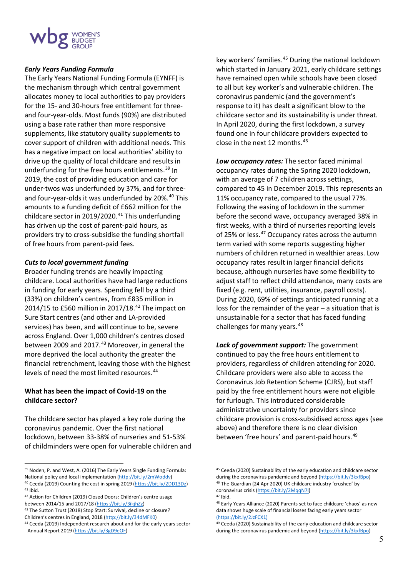#### *Early Years Funding Formula*

The Early Years National Funding Formula (EYNFF) is the mechanism through which central government allocates money to local authorities to pay providers for the 15- and 30-hours free entitlement for threeand four-year-olds. Most funds (90%) are distributed using a base rate rather than more responsive supplements, like statutory quality supplements to cover support of children with additional needs. This has a negative impact on local authorities' ability to drive up the quality of local childcare and results in underfunding for the free hours entitlements.<sup>[39](#page-5-0)</sup> In 2019, the cost of providing education and care for under-twos was underfunded by 37%, and for three-and four-year-olds it was underfunded by 20%.<sup>[40](#page-5-1)</sup> This amounts to a funding deficit of £662 million for the childcare sector in 2019/2020.<sup>[41](#page-5-2)</sup> This underfunding has driven up the cost of parent-paid hours, as providers try to cross-subsidise the funding shortfall of free hours from parent-paid fees.

#### *Cuts to local government funding*

Broader funding trends are heavily impacting childcare. Local authorities have had large reductions in funding for early years. Spending fell by a third (33%) on children's centres, from £835 million in 2014/15 to £560 million in 2017/18.<sup>[42](#page-5-3)</sup> The impact on Sure Start centres (and other and LA-provided services) has been, and will continue to be, severe across England. Over 1,000 children's centres closed between 2009 and 2017.<sup>[43](#page-5-4)</sup> Moreover, in general the more deprived the local authority the greater the financial retrenchment, leaving those with the highest levels of need the most limited resources.<sup>[44](#page-5-5)</sup>

#### **What has been the impact of Covid-19 on the childcare sector?**

The childcare sector has played a key role during the coronavirus pandemic. Over the first national lockdown, between 33-38% of nurseries and 51-53% of childminders were open for vulnerable children and key workers' families.<sup>[45](#page-5-0)</sup> During the national lockdown which started in January 2021, early childcare settings have remained open while schools have been closed to all but key worker's and vulnerable children. The coronavirus pandemic (and the government's response to it) has dealt a significant blow to the childcare sector and its sustainability is under threat. In April 2020, during the first lockdown, a survey found one in four childcare providers expected to close in the next 12 months.[46](#page-5-1)

*Low occupancy rates:* The sector faced minimal occupancy rates during the Spring 2020 lockdown, with an average of 7 children across settings, compared to 45 in December 2019. This represents an 11% occupancy rate, compared to the usual 77%. Following the easing of lockdown in the summer before the second wave, occupancy averaged 38% in first weeks, with a third of nurseries reporting levels of 25% or less.<sup>[47](#page-5-3)</sup> Occupancy rates across the autumn term varied with some reports suggesting higher numbers of children returned in wealthier areas. Low occupancy rates result in larger financial deficits because, although nurseries have some flexibility to adjust staff to reflect child attendance, many costs are fixed (e.g. rent, utilities, insurance, payroll costs). During 2020, 69% of settings anticipated running at a loss for the remainder of the year – a situation that is unsustainable for a sector that has faced funding challenges for many years.<sup>[48](#page-5-6)</sup>

*Lack of government support:* The government continued to pay the free hours entitlement to providers, regardless of children attending for 2020. Childcare providers were also able to access the Coronavirus Job Retention Scheme (CJRS), but staff paid by the free entitlement hours were not eligible for furlough. This introduced considerable administrative uncertainty for providers since childcare provision is cross-subsidised across ages (see above) and therefore there is no clear division between 'free hours' and parent-paid hours.<sup>[49](#page-5-5)</sup>

<span id="page-5-0"></span><sup>&</sup>lt;sup>39</sup> Noden, P. and West, A. (2016) The Early Years Single Funding Formula:

<span id="page-5-1"></span>National policy and local implementation [\(http://bit.ly/2mWoddv\)](http://bit.ly/2mWoddv)<br><sup>40</sup> Ceeda (2019) Counting the cost in spring 2019 [\(https://bit.ly/2DD13Dz\)](https://bit.ly/2DD13Dz)<br><sup>41</sup> Ibid.

<span id="page-5-6"></span><span id="page-5-3"></span><span id="page-5-2"></span><sup>42</sup> Action for Children (2019) Closed Doors: Children's centre usage between 2014/15 and 2017/18 [\(https://bit.ly/3ikjhZz\)](https://bit.ly/3ikjhZz)<br><sup>43</sup> The Sutton Trust (2018) Stop Start: Survival, decline or closure?

<span id="page-5-4"></span>Children's centres in England, 2018 [\(http://bit.ly/34dMFK0\)](http://bit.ly/34dMFK0)<br><sup>44</sup> Ceeda (2019) Independent research about and for the early years sector

<span id="page-5-5"></span><sup>-</sup> Annual Report 2019 [\(https://bit.ly/3gD9eOF\)](https://bit.ly/3gD9eOF)

<sup>45</sup> Ceeda (2020) Sustainability of the early education and childcare sector during the coronavirus pandemic and beyond (https://bit.ly/3kxfBpo)<br><sup>46</sup> The Guardian (24 Apr 2020) UK childcare industry 'crushed' by coronavirus crisis [\(https://bit.ly/2MqqN7l\)](https://bit.ly/2MqqN7l) 47 Ibid.

<sup>48</sup> Early Years Alliance (2020) Parents set to face childcare 'chaos' as new data shows huge scale of financial losses facing early years sector (https://bit.ly/2JzFCX1)

<sup>49</sup> Ceeda (2020) Sustainability of the early education and childcare sector during the coronavirus pandemic and beyond (https://bit.ly/3kxfBpo)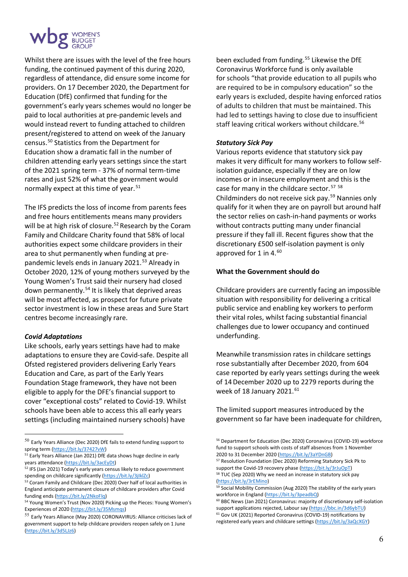

Whilst there are issues with the level of the free hours funding, the continued payment of this during 2020, regardless of attendance, did ensure some income for providers. On 17 December 2020, the Department for Education (DfE) confirmed that funding for the government's early years schemes would no longer be paid to local authorities at pre-pandemic levels and would instead revert to funding attached to children present/registered to attend on week of the January census.[50](#page-6-0) Statistics from the Department for Education show a dramatic fall in the number of children attending early years settings since the start of the 2021 spring term - 37% of normal term-time rates and just 52% of what the government would normally expect at this time of year.<sup>[51](#page-6-1)</sup>

The IFS predicts the loss of income from parents fees and free hours entitlements means many providers will be at high risk of closure.<sup>[52](#page-6-2)</sup> Research by the Coram Family and Childcare Charity found that 58% of local authorities expect some childcare providers in their area to shut permanently when funding at pre-pandemic levels ends in January 2021.<sup>[53](#page-6-3)</sup> Already in October 2020, 12% of young mothers surveyed by the Young Women's Trust said their nursery had closed down permanently.[54](#page-6-4) It is likely that deprived areas will be most affected, as prospect for future private sector investment is low in these areas and Sure Start centres become increasingly rare.

#### *Covid Adaptations*

Like schools, early years settings have had to make adaptations to ensure they are Covid-safe. Despite all Ofsted registered providers delivering Early Years Education and Care, as part of the Early Years Foundation Stage framework, they have not been eligible to apply for the DFE's financial support to cover "exceptional costs" related to Covid-19. Whilst schools have been able to access this all early years settings (including maintained nursery schools) have

been excluded from funding.<sup>[55](#page-6-5)</sup> Likewise the DfE Coronavirus Workforce fund is only available for schools "that provide education to all pupils who are required to be in compulsory education" so the early years is excluded, despite having enforced ratios of adults to children that must be maintained. This had led to settings having to close due to insufficient staff leaving critical workers without childcare.<sup>[56](#page-6-0)</sup>

#### *Statutory Sick Pay*

Various reports evidence that statutory sick pay makes it very difficult for many workers to follow selfisolation guidance, especially if they are on low incomes or in insecure employment and this is the case for many in the childcare sector.<sup>[57](#page-6-6)</sup> <sup>[58](#page-6-7)</sup> Childminders do not receive sick pay.[59](#page-6-8) Nannies only qualify for it when they are on payroll but around half the sector relies on cash-in-hand payments or works without contracts putting many under financial pressure if they fall ill. Recent figures show that the discretionary £500 self-isolation payment is only approved for 1 in 4. $^{60}$  $^{60}$  $^{60}$ 

#### **What the Government should do**

Childcare providers are currently facing an impossible situation with responsibility for delivering a critical public service and enabling key workers to perform their vital roles, whilst facing substantial financial challenges due to lower occupancy and continued underfunding.

Meanwhile transmission rates in childcare settings rose substantially after December 2020, from 604 case reported by early years settings during the week of 14December 2020 up to 2279 reports during the week of 18 January 2021.<sup>[61](#page-6-10)</sup>

The limited support measures introduced by the government so far have been inadequate for children,

<sup>57</sup> Resolution Foundation (Dec 2020) Reforming Statutory Sick Pk to support the Covid-19 recovery phase (https://bit.ly/3rJuOpT)<br><sup>58</sup> TUC (Sep 2020) Why we need an increase in statutory sick pay

<span id="page-6-0"></span> $50$  Early Years Alliance (Dec 2020) DfE fails to extend funding support to spring term (https://bit.ly/37427vW)<br><sup>51</sup> Early Years Alliance (Jan 2021) DfE data shows huge decline in early

<span id="page-6-1"></span>years attendance [\(https://bit.ly/3acEyDt\)](https://bit.ly/3acEyDt)

<span id="page-6-7"></span><span id="page-6-6"></span><span id="page-6-2"></span><sup>&</sup>lt;sup>52</sup> IFS (Jan 2021) Today's early years census likely to reduce government spending on childcare significantly [\(https://bit.ly/3jIklZc\)](https://bit.ly/3jIklZc)<br><sup>53</sup> Coram Family and Childcare (Dec 2020) Over half of local authorities in

<span id="page-6-8"></span><span id="page-6-3"></span>England anticipate permanent closure of childcare providers after Covid funding ends [\(https://bit.ly/2NkoFlq\)](https://bit.ly/2NkoFlq)<br><sup>54</sup> Young Women's Trust (Nov 2020) Picking up the Pieces: Young Women's

<span id="page-6-9"></span><span id="page-6-4"></span>Experiences of 2020 [\(https://bit.ly/35Msmqs\)](https://bit.ly/35Msmqs)

<span id="page-6-10"></span><span id="page-6-5"></span> $55$  Early Years Alliance (May 2020) CORONAVIRUS: Alliance criticises lack of government support to help childcare providers reopen safely on 1 June [\(https://bit.ly/3d5LJz6\)](https://bit.ly/3d5LJz6) 

<sup>56</sup> Department for Education (Dec 2020) Coronavirus (COVID-19) workforce fund to support schools with costs of staff absences from 1 November 2020 to 31 December 2020 [\(https://bit.ly/3aYDnGB\)](https://bit.ly/3aYDnGB)

<sup>(</sup>https://bit.ly/3rEMino)<br><sup>59</sup> Social Mobility Commission (Aug 2020) The stability of the early years<br>workforce in England (https://bit.ly/3peadbQ)

<sup>60</sup> BBC News (Jan 2021) Coronavirus: majority of discretionary self-isolation support applications rejected, Labour say [\(https://bbc.in/3d6ybTU\)](https://bbc.in/3d6ybTU) 61 Gov UK (2021) Reported Coronavirus (COVID-19) notifications by

registered early years and childcare settings [\(https://bit.ly/3aQcXGY\)](https://bit.ly/3aQcXGY)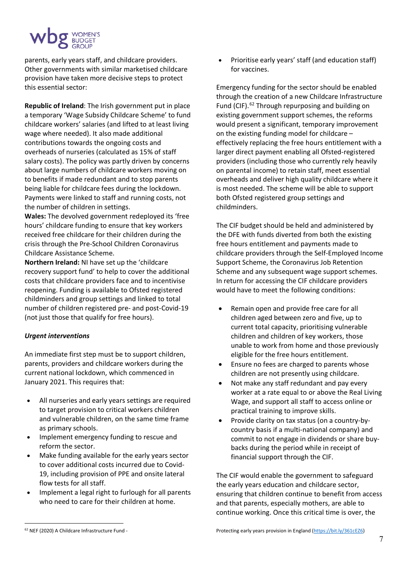

parents, early years staff, and childcare providers. Other governments with similar marketised childcare provision have taken more decisive steps to protect this essential sector:

**Republic of Ireland**: The Irish government put in place a temporary 'Wage Subsidy Childcare Scheme' to fund childcare workers' salaries (and lifted to at least living wage where needed). It also made additional contributions towards the ongoing costs and overheads of nurseries (calculated as 15% of staff salary costs). The policy was partly driven by concerns about large numbers of childcare workers moving on to benefits if made redundant and to stop parents being liable for childcare fees during the lockdown. Payments were linked to staff and running costs, not the number of children in settings.

**Wales:** The devolved government redeployed its 'free hours' childcare funding to ensure that key workers received free childcare for their children during the crisis through the Pre-School Children Coronavirus Childcare Assistance Scheme.

**Northern Ireland:** NI have set up the 'childcare recovery support fund' to help to cover the additional costs that childcare providers face and to incentivise reopening. Funding is available to Ofsted registered childminders and group settings and linked to total number of children registered pre- and post-Covid-19 (not just those that qualify for free hours).

### *Urgent interventions*

An immediate first step must be to support children, parents, providers and childcare workers during the current national lockdown, which commenced in January 2021. This requires that:

- All nurseries and early years settings are required to target provision to critical workers children and vulnerable children, on the same time frame as primary schools.
- Implement emergency funding to rescue and reform the sector.
- Make funding available for the early years sector to cover additional costs incurred due to Covid-19, including provision of PPE and onsite lateral flow tests for all staff.
- Implement a legal right to furlough for all parents who need to care for their children at home.

• Prioritise early years' staff (and education staff) for vaccines.

Emergency funding for the sector should be enabled through the creation of a new Childcare Infrastructure Fund (CIF).<sup>[62](#page-7-0)</sup> Through repurposing and building on existing government support schemes, the reforms would present a significant, temporary improvement on the existing funding model for childcare – effectively replacing the free hours entitlement with a larger direct payment enabling all Ofsted-registered providers (including those who currently rely heavily on parental income) to retain staff, meet essential overheads and deliver high quality childcare where it is most needed. The scheme will be able to support both Ofsted registered group settings and childminders.

The CIF budget should be held and administered by the DFE with funds diverted from both the existing free hours entitlement and payments made to childcare providers through the Self-Employed Income Support Scheme, the Coronavirus Job Retention Scheme and any subsequent wage support schemes. In return for accessing the CIF childcare providers would have to meet the following conditions:

- Remain open and provide free care for all children aged between zero and five, up to current total capacity, prioritising vulnerable children and children of key workers, those unable to work from home and those previously eligible for the free hours entitlement.
- Ensure no fees are charged to parents whose children are not presently using childcare.
- Not make any staff redundant and pay every worker at a rate equal to or above the Real Living Wage, and support all staff to access online or practical training to improve skills.
- Provide clarity on tax status (on a country-bycountry basis if a multi-national company) and commit to not engage in dividends or share buybacks during the period while in receipt of financial support through the CIF.

The CIF would enable the government to safeguard the early years education and childcare sector, ensuring that children continue to benefit from access and that parents, especially mothers, are able to continue working. Once this critical time is over, the

<span id="page-7-0"></span><sup>62</sup> NEF (2020) A Childcare Infrastructure Fund -